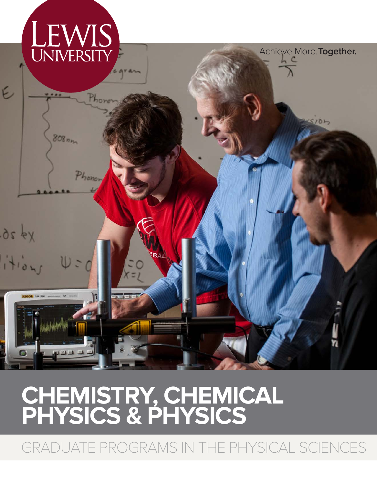## GRADUATE PROGRAMS IN THE PHYSICAL SCIENCES

## **CHEMISTRY, CHEMICAL PHYSICS & PHYSICS**

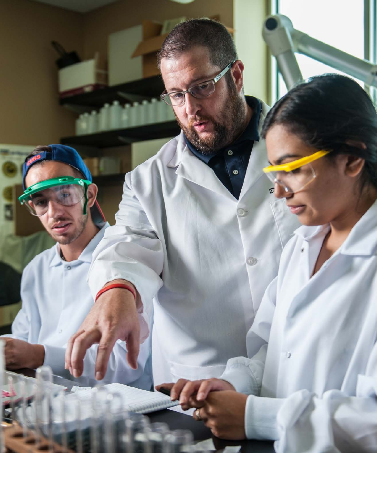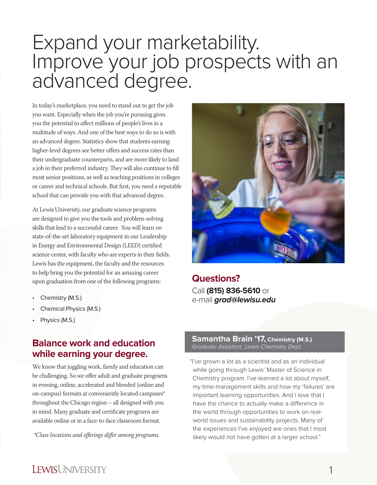## Expand your marketability. Improve your job prospects with an advanced degree.

In today's marketplace, you need to stand out to get the job you want. Especially when the job you're pursuing gives you the potential to affect millions of people's lives in a multitude of ways. And one of the best ways to do so is with an advanced degree. Statistics show that students earning higher-level degrees see better offers and success rates than their undergraduate counterparts, and are more likely to land a job in their preferred industry. They will also continue to fill most senior positions, as well as teaching positions in colleges or career and technical schools. But first, you need a reputable school that can provide you with that advanced degree.

At Lewis University, our graduate science programs are designed to give you the tools and problem-solving skills that lead to a successful career. You will learn on state-of-the-art laboratory equipment in our Leadership in Energy and Environmental Design (LEED) certified science center, with faculty who are experts in their fields. Lewis has the equipment, the faculty and the resources to help bring you the potential for an amazing career upon graduation from one of the following programs:

- Chemistry (M.S.)
- Chemical Physics (M.S.)
- Physics (M.S.)

## **Balance work and education while earning your degree.**

We know that juggling work, family and education can be challenging. So we offer adult and graduate programs in evening, online, accelerated and blended (online and on-campus) formats at conveniently located campuses\* throughout the Chicago region – all designed with you in mind. Many graduate and certificate programs are available online or in a face-to-face classroom format.

 *\*Class locations and offerings differ among programs.*



**Questions?** Call **(815) 836-5610** or e-mail **grad@lewisu.edu**

#### **Samantha Brain '17, Chemistry (M.S.)**  *Graduate Assistant, Lewis Chemistry Dept.*

"I've grown a lot as a scientist and as an individual while going through Lewis' Master of Science in Chemistry program. I've learned a lot about myself, my time-management skills and how my 'failures' are important learning opportunities. And I love that I have the chance to actually make a difference in the world through opportunities to work on realworld issues and sustainability projects. Many of the experiences I've enjoyed are ones that I most likely would not have gotten at a larger school."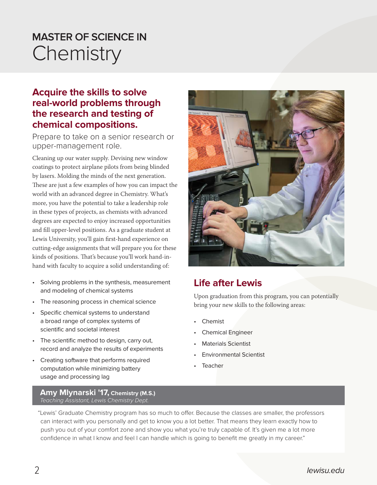## **MASTER OF SCIENCE IN Chemistry**

## **Acquire the skills to solve real-world problems through the research and testing of chemical compositions.**

Prepare to take on a senior research or upper-management role.

Cleaning up our water supply. Devising new window coatings to protect airplane pilots from being blinded by lasers. Molding the minds of the next generation. These are just a few examples of how you can impact the world with an advanced degree in Chemistry. What's more, you have the potential to take a leadership role in these types of projects, as chemists with advanced degrees are expected to enjoy increased opportunities and fill upper-level positions. As a graduate student at Lewis University, you'll gain first-hand experience on cutting-edge assignments that will prepare you for these kinds of positions. That's because you'll work hand-inhand with faculty to acquire a solid understanding of:

- Solving problems in the synthesis, measurement and modeling of chemical systems
- The reasoning process in chemical science
- Specific chemical systems to understand a broad range of complex systems of scientific and societal interest
- The scientific method to design, carry out, record and analyze the results of experiments
- Creating software that performs required computation while minimizing battery usage and processing lag

#### **Amy Mlynarski '17, Chemistry (M.S.)**  *Teaching Assistant, Lewis Chemistry Dept.*

## **Life after Lewis**

Upon graduation from this program, you can potentially bring your new skills to the following areas:

- Chemist
- Chemical Engineer
- Materials Scientist
- Environmental Scientist
- **Teacher**

"Lewis' Graduate Chemistry program has so much to offer. Because the classes are smaller, the professors can interact with you personally and get to know you a lot better. That means they learn exactly how to push you out of your comfort zone and show you what you're truly capable of. It's given me a lot more confidence in what I know and feel I can handle which is going to benefit me greatly in my career."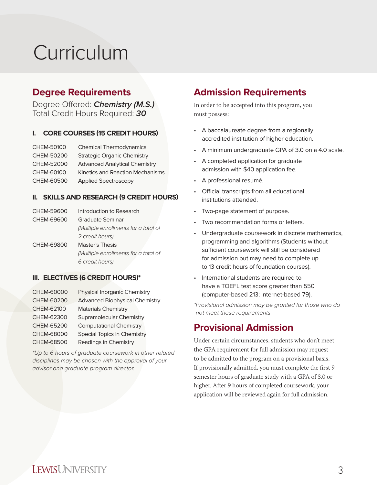## Curriculum

### **Degree Requirements**

Degree Offered: **Chemistry (M.S.)** Total Credit Hours Required: **30**

#### **I. CORE COURSES (15 CREDIT HOURS)**

| Chemical Thermodynamics              |
|--------------------------------------|
| Strategic Organic Chemistry          |
| <b>Advanced Analytical Chemistry</b> |
| Kinetics and Reaction Mechanisms     |
| <b>Applied Spectroscopy</b>          |
|                                      |

#### **II. SKILLS AND RESEARCH (9 CREDIT HOURS)**

| CHEM-59600 | Introduction to Research             |
|------------|--------------------------------------|
| CHEM-69600 | Graduate Seminar                     |
|            | (Multiple enrollments for a total of |
|            | 2 credit hours)                      |
| CHEM-69800 | Master's Thesis                      |
|            | (Multiple enrollments for a total of |
|            | 6 credit hours)                      |

#### **III. ELECTIVES (6 CREDIT HOURS)\***

CHEM-60000 Physical Inorganic Chemistry CHEM-60200 Advanced Biophysical Chemistry CHEM-62100 Materials Chemistry CHEM-62300 Supramolecular Chemistry CHEM-65200 Computational Chemistry CHEM-68000 Special Topics in Chemistry CHEM-68500 Readings in Chemistry

*\*Up to 6 hours of graduate coursework in other related disciplines may be chosen with the approval of your advisor and graduate program director.*

## **Admission Requirements**

In order to be accepted into this program, you must possess:

- A baccalaureate degree from a regionally accredited institution of higher education.
- A minimum undergraduate GPA of 3.0 on a 4.0 scale.
- A completed application for graduate admission with \$40 application fee.
- A professional resumé.
- Official transcripts from all educational institutions attended.
- Two-page statement of purpose.
- Two recommendation forms or letters.
- Undergraduate coursework in discrete mathematics, programming and algorithms (Students without sufficient coursework will still be considered for admission but may need to complete up to 13 credit hours of foundation courses).
- International students are required to have a TOEFL test score greater than 550 (computer-based 213; Internet-based 79).

*\*Provisional admission may be granted for those who do not meet these requirements*

## **Provisional Admission**

Under certain circumstances, students who don't meet the GPA requirement for full admission may request to be admitted to the program on a provisional basis. If provisionally admitted, you must complete the first 9 semester hours of graduate study with a GPA of 3.0 or higher. After 9 hours of completed coursework, your application will be reviewed again for full admission.

**LEWISUNIVERSITY**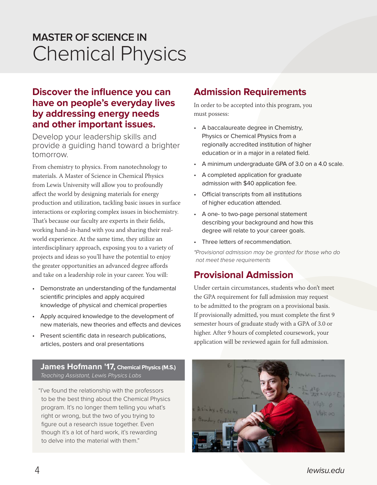## **MASTER OF SCIENCE IN** Chemical Physics

### **Discover the influence you can have on people's everyday lives by addressing energy needs and other important issues.**

Develop your leadership skills and provide a guiding hand toward a brighter tomorrow.

From chemistry to physics. From nanotechnology to materials. A Master of Science in Chemical Physics from Lewis University will allow you to profoundly affect the world by designing materials for energy production and utilization, tackling basic issues in surface interactions or exploring complex issues in biochemistry. That's because our faculty are experts in their fields, working hand-in-hand with you and sharing their realworld experience. At the same time, they utilize an interdisciplinary approach, exposing you to a variety of projects and ideas so you'll have the potential to enjoy the greater opportunities an advanced degree affords and take on a leadership role in your career. You will:

- Demonstrate an understanding of the fundamental scientific principles and apply acquired knowledge of physical and chemical properties
- Apply acquired knowledge to the development of new materials, new theories and effects and devices
- Present scientific data in research publications, articles, posters and oral presentations

**James Hofmann '17, Chemical Physics (M.S.)**  *Teaching Assistant, Lewis Physics Labs*

"I've found the relationship with the professors to be the best thing about the Chemical Physics program. It's no longer them telling you what's right or wrong, but the two of you trying to figure out a research issue together. Even though it's a lot of hard work, it's rewarding to delve into the material with them."

## **Admission Requirements**

In order to be accepted into this program, you must possess:

- A baccalaureate degree in Chemistry, Physics or Chemical Physics from a regionally accredited institution of higher education or in a major in a related field.
- A minimum undergraduate GPA of 3.0 on a 4.0 scale.
- A completed application for graduate admission with \$40 application fee.
- Official transcripts from all institutions of higher education attended.
- A one- to two-page personal statement describing your background and how this degree will relate to your career goals.
- Three letters of recommendation.

*\*Provisional admission may be granted for those who do not meet these requirements*

## **Provisional Admission**

Under certain circumstances, students who don't meet the GPA requirement for full admission may request to be admitted to the program on a provisional basis. If provisionally admitted, you must complete the first 9 semester hours of graduate study with a GPA of 3.0 or higher. After 9 hours of completed coursework, your application will be reviewed again for full admission.



4 lewisu.edu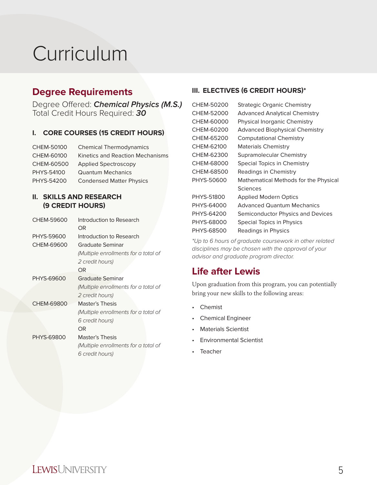## Curriculum

## **Degree Requirements**

Degree Offered: **Chemical Physics (M.S.)** Total Credit Hours Required: **30**

#### **I. CORE COURSES (15 CREDIT HOURS)**

| <b>Chemical Thermodynamics</b>   |
|----------------------------------|
| Kinetics and Reaction Mechanisms |
| <b>Applied Spectroscopy</b>      |
| <b>Quantum Mechanics</b>         |
| <b>Condensed Matter Physics</b>  |
|                                  |

#### **II. SKILLS AND RESEARCH (9 CREDIT HOURS)**

| CHEM-59600        | Introduction to Research<br>ΟR       |
|-------------------|--------------------------------------|
| <b>PHYS-59600</b> | Introduction to Research             |
| CHEM-69600        | Graduate Seminar                     |
|                   | (Multiple enrollments for a total of |
|                   | 2 credit hours)                      |
|                   | OR                                   |
| <b>PHYS-69600</b> | <b>Graduate Seminar</b>              |
|                   | (Multiple enrollments for a total of |
|                   | 2 credit hours)                      |
| CHEM-69800        | Master's Thesis                      |
|                   | (Multiple enrollments for a total of |
|                   | 6 credit hours)                      |
|                   | OR                                   |
| <b>PHYS-69800</b> | Master's Thesis                      |
|                   | (Multiple enrollments for a total of |
|                   | 6 credit hours)                      |

#### **III. ELECTIVES (6 CREDIT HOURS)\***

| CHFM-50200        | <b>Strategic Organic Chemistry</b>    |
|-------------------|---------------------------------------|
| CHEM-52000        | <b>Advanced Analytical Chemistry</b>  |
| CHEM-60000        | <b>Physical Inorganic Chemistry</b>   |
| CHFM-60200        | <b>Advanced Biophysical Chemistry</b> |
| CHEM-65200        | <b>Computational Chemistry</b>        |
| CHFM-62100        | <b>Materials Chemistry</b>            |
| CHEM-62300        | Supramolecular Chemistry              |
| CHEM-68000        | Special Topics in Chemistry           |
| CHFM-68500        | Readings in Chemistry                 |
| PHYS-50600        | Mathematical Methods for the Physical |
|                   | Sciences                              |
| <b>PHYS-51800</b> | <b>Applied Modern Optics</b>          |
| <b>PHYS-64000</b> | <b>Advanced Quantum Mechanics</b>     |
| PHYS-64200        | Semiconductor Physics and Devices     |
| PHYS-68000        | Special Topics in Physics             |
| <b>PHYS-68500</b> | Readings in Physics                   |

*\*Up to 6 hours of graduate coursework in other related disciplines may be chosen with the approval of your advisor and graduate program director.*

### **Life after Lewis**

Upon graduation from this program, you can potentially bring your new skills to the following areas:

- Chemist
- Chemical Engineer
- Materials Scientist
- Environmental Scientist
- **Teacher**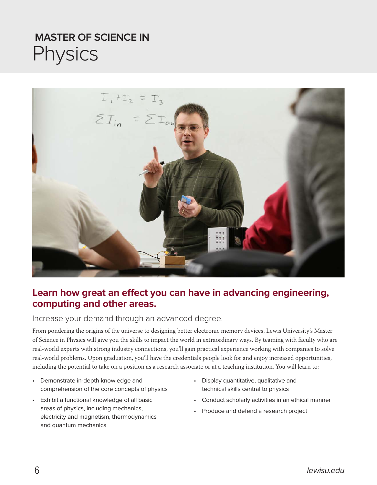## **MASTER OF SCIENCE IN Physics**



## **Learn how great an effect you can have in advancing engineering, computing and other areas.**

Increase your demand through an advanced degree.

From pondering the origins of the universe to designing better electronic memory devices, Lewis University's Master of Science in Physics will give you the skills to impact the world in extraordinary ways. By teaming with faculty who are real-world experts with strong industry connections, you'll gain practical experience working with companies to solve real-world problems. Upon graduation, you'll have the credentials people look for and enjoy increased opportunities, including the potential to take on a position as a research associate or at a teaching institution. You will learn to:

- Demonstrate in-depth knowledge and comprehension of the core concepts of physics
- Exhibit a functional knowledge of all basic areas of physics, including mechanics, electricity and magnetism, thermodynamics and quantum mechanics
- Display quantitative, qualitative and technical skills central to physics
- Conduct scholarly activities in an ethical manner
- Produce and defend a research project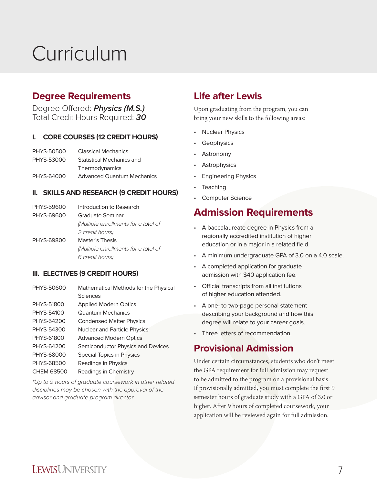## Curriculum

## **Degree Requirements**

Degree Offered: **Physics (M.S.)** Total Credit Hours Required: **30** 

#### **I. CORE COURSES (12 CREDIT HOURS)**

| PHYS-50500 | <b>Classical Mechanics</b>        |
|------------|-----------------------------------|
| PHYS-53000 | Statistical Mechanics and         |
|            | Thermodynamics                    |
| PHYS-64000 | <b>Advanced Quantum Mechanics</b> |

#### **II. SKILLS AND RESEARCH (9 CREDIT HOURS)**

| PHYS-59600 | Introduction to Research             |
|------------|--------------------------------------|
| PHYS-69600 | Graduate Seminar                     |
|            | (Multiple enrollments for a total of |
|            | 2 credit hours)                      |
| PHYS-69800 | <b>Master's Thesis</b>               |
|            | (Multiple enrollments for a total of |
|            | 6 credit hours)                      |

#### **III. ELECTIVES (9 CREDIT HOURS)**

| PHYS-50600        | Mathematical Methods for the Physical |
|-------------------|---------------------------------------|
|                   | Sciences                              |
| <b>PHYS-51800</b> | <b>Applied Modern Optics</b>          |
| PHYS-54100        | Quantum Mechanics                     |
| PHYS-54200        | <b>Condensed Matter Physics</b>       |
| PHYS-54300        | <b>Nuclear and Particle Physics</b>   |
| PHYS-61800        | <b>Advanced Modern Optics</b>         |
| PHYS-64200        | Semiconductor Physics and Devices     |
| PHYS-68000        | <b>Special Topics in Physics</b>      |
| <b>PHYS-68500</b> | Readings in Physics                   |
| CHEM-68500        | Readings in Chemistry                 |

*\*Up to 9 hours of graduate coursework in other related disciplines may be chosen with the approval of the advisor and graduate program director.*

## **Life after Lewis**

Upon graduating from the program, you can bring your new skills to the following areas:

- **Nuclear Physics**
- **Geophysics**
- **Astronomy**
- **Astrophysics**
- Engineering Physics
- **Teaching**
- Computer Science

## **Admission Requirements**

- A baccalaureate degree in Physics from a regionally accredited institution of higher education or in a major in a related field.
- A minimum undergraduate GPA of 3.0 on a 4.0 scale.
- A completed application for graduate admission with \$40 application fee.
- Official transcripts from all institutions of higher education attended.
- A one- to two-page personal statement describing your background and how this degree will relate to your career goals.
- Three letters of recommendation.

## **Provisional Admission**

Under certain circumstances, students who don't meet the GPA requirement for full admission may request to be admitted to the program on a provisional basis. If provisionally admitted, you must complete the first 9 semester hours of graduate study with a GPA of 3.0 or higher. After 9 hours of completed coursework, your application will be reviewed again for full admission.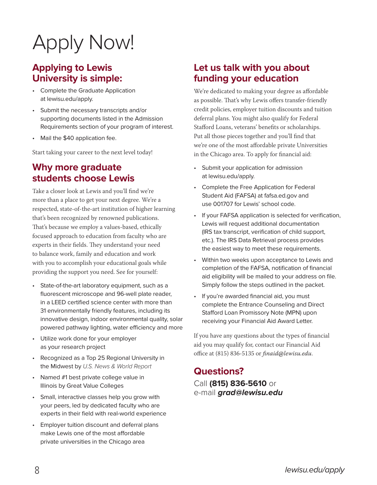# Apply Now!

## **Applying to Lewis University is simple:**

- Complete the Graduate Application at lewisu.edu/apply.
- Submit the necessary transcripts and/or supporting documents listed in the Admission Requirements section of your program of interest.
- Mail the \$40 application fee.

Start taking your career to the next level today!

## **Why more graduate students choose Lewis**

Take a closer look at Lewis and you'll find we're more than a place to get your next degree. We're a respected, state-of-the-art institution of higher learning that's been recognized by renowned publications. That's because we employ a values-based, ethically focused approach to education from faculty who are experts in their fields. They understand your need to balance work, family and education and work with you to accomplish your educational goals while providing the support you need. See for yourself:

- State-of-the-art laboratory equipment, such as a fluorescent microscope and 96-well plate reader, in a LEED certified science center with more than 31 environmentally friendly features, including its innovative design, indoor environmental quality, solar powered pathway lighting, water efficiency and more
- Utilize work done for your employer as your research project
- Recognized as a Top 25 Regional University in the Midwest by *U.S. News & World Report*
- Named #1 best private college value in Illinois by Great Value Colleges
- Small, interactive classes help you grow with your peers, led by dedicated faculty who are experts in their field with real-world experience
- Employer tuition discount and deferral plans make Lewis one of the most affordable private universities in the Chicago area

## **Let us talk with you about funding your education**

We're dedicated to making your degree as affordable as possible. That's why Lewis offers transfer-friendly credit policies, employer tuition discounts and tuition deferral plans. You might also qualify for Federal Stafford Loans, veterans' benefits or scholarships. Put all those pieces together and you'll find that we're one of the most affordable private Universities in the Chicago area. To apply for financial aid:

- Submit your application for admission at lewisu.edu/apply.
- Complete the Free Application for Federal Student Aid (FAFSA) at fafsa.ed.gov and use 001707 for Lewis' school code.
- If your FAFSA application is selected for verification, Lewis will request additional documentation (IRS tax transcript, verification of child support, etc.). The IRS Data Retrieval process provides the easiest way to meet these requirements.
- Within two weeks upon acceptance to Lewis and completion of the FAFSA, notification of financial aid eligibility will be mailed to your address on file. Simply follow the steps outlined in the packet.
- If you're awarded financial aid, you must complete the Entrance Counseling and Direct Stafford Loan Promissory Note (MPN) upon receiving your Financial Aid Award Letter.

If you have any questions about the types of financial aid you may qualify for, contact our Financial Aid office at (815) 836-5135 or *finaid@lewisu.edu*.

## **Questions?**

### Call **(815) 836-5610** or e-mail **grad@lewisu.edu**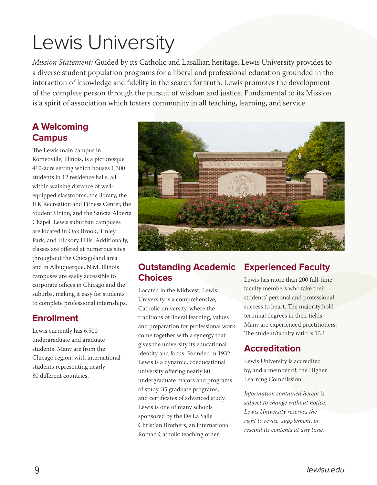# Lewis University

*Mission Statement:* Guided by its Catholic and Lasallian heritage, Lewis University provides to a diverse student population programs for a liberal and professional education grounded in the interaction of knowledge and fidelity in the search for truth. Lewis promotes the development of the complete person through the pursuit of wisdom and justice. Fundamental to its Mission is a spirit of association which fosters community in all teaching, learning, and service.

## **A Welcoming Campus**

• throughout the Chicagoland area The Lewis main campus in Romeoville, Illinois, is a picturesque 410-acre setting which houses 1,300 students in 12 residence halls, all within walking distance of wellequipped classrooms, the library, the JFK Recreation and Fitness Center, the Student Union, and the Sancta Alberta Chapel. Lewis suburban campuses are located in Oak Brook, Tinley Park, and Hickory Hills. Additionally, classes are offered at numerous sites and in Albuquerque, N.M. Illinois campuses are easily accessible to corporate offices in Chicago and the suburbs, making it easy for students to complete professional internships.

## **Enrollment**

Lewis currently has 6,500 undergraduate and graduate students. Many are from the Chicago region, with international students representing nearly 30 different countries.



## **Outstanding Academic Choices**

Located in the Midwest, Lewis University is a comprehensive, Catholic university, where the traditions of liberal learning, values and preparation for professional work come together with a synergy that gives the university its educational identity and focus. Founded in 1932, Lewis is a dynamic, coeducational university offering nearly 80 undergraduate majors and programs of study, 35 graduate programs, and certificates of advanced study. Lewis is one of many schools sponsored by the De La Salle Christian Brothers, an international Roman Catholic teaching order.

## **Experienced Faculty**

Lewis has more than 200 full-time faculty members who take their students' personal and professional success to heart. The majority hold terminal degrees in their fields. Many are experienced practitioners. The student/faculty ratio is 13:1.

## **Accreditation**

Lewis University is accredited by, and a member of, the Higher Learning Commission.

*Information contained herein is subject to change without notice. Lewis University reserves the right to revise, supplement, or rescind its contents at any time.*